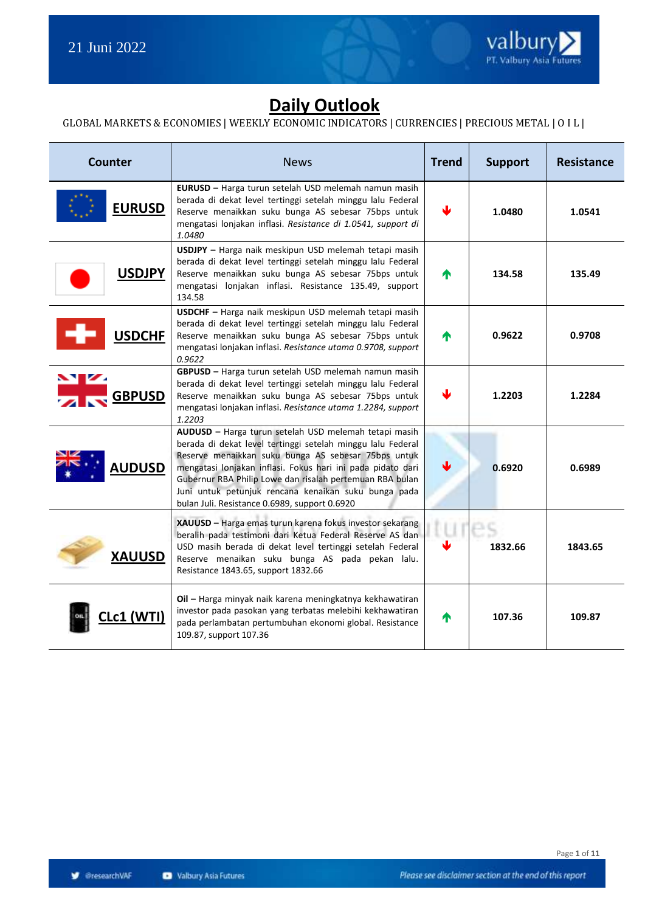

## **Daily Outlook**

#### GLOBAL MARKETS & ECONOMIES | WEEKLY ECONOMIC INDICATORS | CURRENCIES | PRECIOUS METAL | O I L |

| <b>Counter</b>                | <b>News</b>                                                                                                                                                                                                                                                                                                                                                                                                     | <b>Trend</b> | <b>Support</b> | <b>Resistance</b> |
|-------------------------------|-----------------------------------------------------------------------------------------------------------------------------------------------------------------------------------------------------------------------------------------------------------------------------------------------------------------------------------------------------------------------------------------------------------------|--------------|----------------|-------------------|
| <b>EURUSD</b>                 | EURUSD - Harga turun setelah USD melemah namun masih<br>berada di dekat level tertinggi setelah minggu lalu Federal<br>Reserve menaikkan suku bunga AS sebesar 75bps untuk<br>mengatasi lonjakan inflasi. Resistance di 1.0541, support di<br>1.0480                                                                                                                                                            |              | 1.0480         | 1.0541            |
| <b>USDJPY</b>                 | USDJPY - Harga naik meskipun USD melemah tetapi masih<br>berada di dekat level tertinggi setelah minggu lalu Federal<br>Reserve menaikkan suku bunga AS sebesar 75bps untuk<br>mengatasi lonjakan inflasi. Resistance 135.49, support<br>134.58                                                                                                                                                                 | ⋔            | 134.58         | 135.49            |
| <b>USDCHF</b>                 | USDCHF - Harga naik meskipun USD melemah tetapi masih<br>berada di dekat level tertinggi setelah minggu lalu Federal<br>Reserve menaikkan suku bunga AS sebesar 75bps untuk<br>mengatasi lonjakan inflasi. Resistance utama 0.9708, support<br>0.9622                                                                                                                                                           | М            | 0.9622         | 0.9708            |
| $\mathbf{v}$<br><b>GBPUSD</b> | GBPUSD - Harga turun setelah USD melemah namun masih<br>berada di dekat level tertinggi setelah minggu lalu Federal<br>Reserve menaikkan suku bunga AS sebesar 75bps untuk<br>mengatasi lonjakan inflasi. Resistance utama 1.2284, support<br>1.2203                                                                                                                                                            | Ψ            | 1.2203         | 1.2284            |
| <b>AUDUSD</b>                 | AUDUSD - Harga turun setelah USD melemah tetapi masih<br>berada di dekat level tertinggi setelah minggu lalu Federal<br>Reserve menaikkan suku bunga AS sebesar 75bps untuk<br>mengatasi lonjakan inflasi. Fokus hari ini pada pidato dari<br>Gubernur RBA Philip Lowe dan risalah pertemuan RBA bulan<br>Juni untuk petunjuk rencana kenaikan suku bunga pada<br>bulan Juli. Resistance 0.6989, support 0.6920 | ₩            | 0.6920         | 0.6989            |
| <b>XAUUSD</b>                 | XAUUSD - Harga emas turun karena fokus investor sekarang<br>beralih pada testimoni dari Ketua Federal Reserve AS dan<br>USD masih berada di dekat level tertinggi setelah Federal<br>Reserve menaikan suku bunga AS pada pekan lalu.<br>Resistance 1843.65, support 1832.66                                                                                                                                     |              | 1832.66        | 1843.65           |
| c <b>1 (WTI)</b>              | Oil - Harga minyak naik karena meningkatnya kekhawatiran<br>investor pada pasokan yang terbatas melebihi kekhawatiran<br>pada perlambatan pertumbuhan ekonomi global. Resistance<br>109.87, support 107.36                                                                                                                                                                                                      | ⋔            | 107.36         | 109.87            |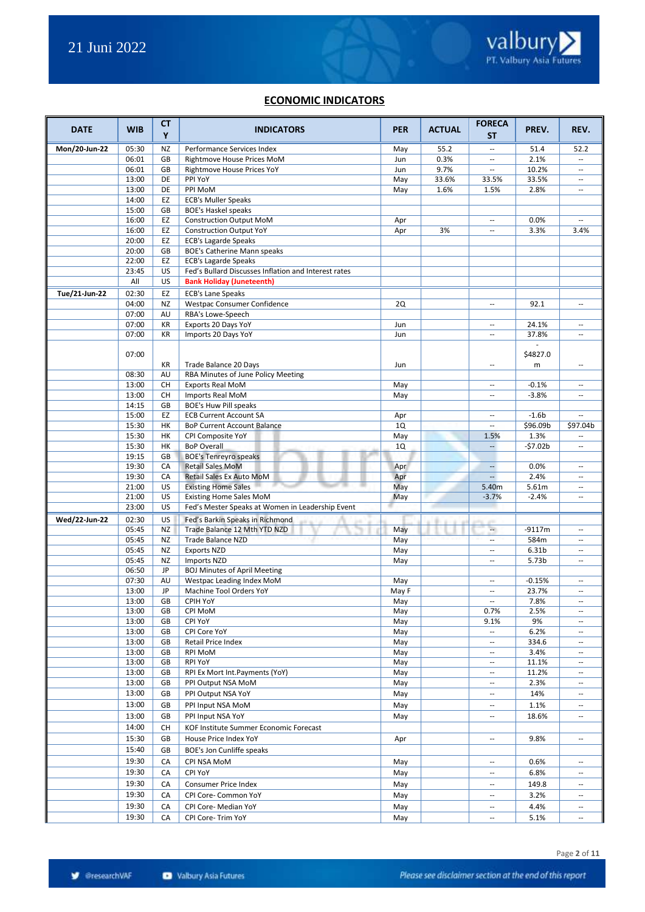#### **ECONOMIC INDICATORS**

| <b>DATE</b>   | <b>WIB</b>     | СT<br>Y                | <b>INDICATORS</b>                                                                   | <b>PER</b> | <b>ACTUAL</b> | <b>FORECA</b><br>ST.     | PREV.            | REV.                     |
|---------------|----------------|------------------------|-------------------------------------------------------------------------------------|------------|---------------|--------------------------|------------------|--------------------------|
| Mon/20-Jun-22 | 05:30          | NZ                     | Performance Services Index                                                          | May        | 55.2          | $\overline{\phantom{a}}$ | 51.4             | 52.2                     |
|               | 06:01          | GB                     | Rightmove House Prices MoM                                                          | Jun        | 0.3%          | --                       | 2.1%             | ш.                       |
|               | 06:01          | GB                     | Rightmove House Prices YoY                                                          | Jun        | 9.7%          |                          | 10.2%            | $\overline{\phantom{a}}$ |
|               | 13:00          | DE                     | PPI YoY                                                                             | May        | 33.6%         | 33.5%                    | 33.5%            | $\sim$ $\sim$            |
|               | 13:00          | DE                     | PPI MoM                                                                             | May        | 1.6%          | 1.5%                     | 2.8%             | $\overline{\phantom{a}}$ |
|               | 14:00          | EZ                     | <b>ECB's Muller Speaks</b>                                                          |            |               |                          |                  |                          |
|               | 15:00          | GB                     | <b>BOE's Haskel speaks</b>                                                          |            |               |                          |                  |                          |
|               | 16:00          | EZ                     | <b>Construction Output MoM</b>                                                      | Apr        |               | $\overline{a}$           | 0.0%             | $\sim$ $\sim$            |
|               | 16:00          | EZ                     | <b>Construction Output YoY</b>                                                      | Apr        | 3%            | Ξ.                       | 3.3%             | 3.4%                     |
|               | 20:00          | EZ                     | <b>ECB's Lagarde Speaks</b>                                                         |            |               |                          |                  |                          |
|               | 20:00<br>22:00 | GB                     | BOE's Catherine Mann speaks                                                         |            |               |                          |                  |                          |
|               | 23:45          | EZ<br>US               | <b>ECB's Lagarde Speaks</b><br>Fed's Bullard Discusses Inflation and Interest rates |            |               |                          |                  |                          |
|               | All            | US                     | <b>Bank Holiday (Juneteenth)</b>                                                    |            |               |                          |                  |                          |
|               | 02:30          | EZ                     |                                                                                     |            |               |                          |                  |                          |
| Tue/21-Jun-22 | 04:00          | NZ                     | <b>ECB's Lane Speaks</b><br>Westpac Consumer Confidence                             | <b>2Q</b>  |               | Ξ.                       | 92.1             | $\overline{\phantom{a}}$ |
|               | 07:00          | AU                     | RBA's Lowe-Speech                                                                   |            |               |                          |                  |                          |
|               | 07:00          | KR                     | Exports 20 Days YoY                                                                 | Jun        |               | --                       | 24.1%            | $\overline{\phantom{a}}$ |
|               | 07:00          | KR                     | Imports 20 Days YoY                                                                 | Jun        |               | --                       | 37.8%            | $\overline{a}$           |
|               |                |                        |                                                                                     |            |               |                          |                  |                          |
|               | 07:00          |                        |                                                                                     |            |               |                          | \$4827.0         |                          |
|               |                | KR                     | Trade Balance 20 Days                                                               | Jun        |               | $\overline{\phantom{a}}$ | m                | $\sim$                   |
|               | 08:30          | AU                     | RBA Minutes of June Policy Meeting                                                  |            |               |                          |                  |                          |
|               | 13:00          | CH                     | <b>Exports Real MoM</b>                                                             | May        |               | --                       | $-0.1%$          | $\overline{\phantom{a}}$ |
|               | 13:00          | CH                     | Imports Real MoM                                                                    | May        |               | $\overline{a}$           | $-3.8%$          | $\sim$                   |
|               | 14:15          | GB                     | <b>BOE's Huw Pill speaks</b>                                                        |            |               |                          |                  |                          |
|               | 15:00          | EZ                     | <b>ECB Current Account SA</b>                                                       | Apr        |               | Ξ.                       | $-1.6b$          | $\sim$                   |
|               | 15:30          | HK                     | BoP Current Account Balance                                                         | 1Q         |               | --                       | \$96.09b         | \$97.04b                 |
|               | 15:30          | HK                     | CPI Composite YoY                                                                   | May        |               | 1.5%                     | 1.3%             |                          |
|               | 15:30          | HК                     | <b>BoP Overall</b>                                                                  | 1Q         |               | $\overline{a}$           | $-57.02b$        | $\sim$                   |
|               | 19:15          | GB                     | <b>BOE's Tenreyro speaks</b>                                                        |            |               |                          |                  |                          |
|               | 19:30          | CA                     | <b>Retail Sales MoM</b>                                                             | Apr        |               | $\overline{\phantom{a}}$ | 0.0%             | $\sim$ $\sim$            |
|               | 19:30          | CA                     | Retail Sales Ex Auto MoM                                                            | Apr        |               | $\overline{\phantom{a}}$ | 2.4%             | $\sim$                   |
|               | 21:00<br>21:00 | US<br>US               | <b>Existing Home Sales</b>                                                          | May        |               | 5.40m<br>$-3.7%$         | 5.61m<br>$-2.4%$ | $\hspace{0.05cm} \ldots$ |
|               | 23:00          | US                     | <b>Existing Home Sales MoM</b><br>Fed's Mester Speaks at Women in Leadership Event  | May        |               |                          |                  | --                       |
|               | 02:30          | US                     |                                                                                     |            |               |                          |                  |                          |
| Wed/22-Jun-22 | 05:45          | NZ                     | Fed's Barkin Speaks in Richmond<br>Trade Balance 12 Mth YTD NZD                     | May        |               | u,                       | $-9117m$         | $\overline{a}$           |
|               | 05:45          | NZ                     | <b>Trade Balance NZD</b>                                                            | May        |               | $\overline{\phantom{a}}$ | 584m             | $\sim$ $\sim$            |
|               | 05:45          | NZ                     | <b>Exports NZD</b>                                                                  | May        |               | $\overline{\phantom{a}}$ | 6.31b            | $\overline{\phantom{a}}$ |
|               | 05:45          | NZ                     | Imports NZD                                                                         | May        |               | $\overline{\phantom{a}}$ | 5.73b            | $\overline{\phantom{a}}$ |
|               | 06:50          | JP                     | <b>BOJ Minutes of April Meeting</b>                                                 |            |               |                          |                  |                          |
|               | 07:30          | AU                     | Westpac Leading Index MoM                                                           | May        |               | $\overline{a}$           | $-0.15%$         | $\sim$ $\sim$            |
|               | 13:00          | JP                     | Machine Tool Orders YoY                                                             | May F      |               | Ξ.                       | 23.7%            | $\overline{\phantom{a}}$ |
|               | 13:00          | $\mathsf{G}\mathsf{B}$ | CPIH YoY                                                                            | May        |               |                          | 7.8%             |                          |
|               | 13:00          | GB                     | CPI MoM                                                                             | May        |               | 0.7%                     | 2.5%             | $\overline{\phantom{a}}$ |
|               | 13:00          | GB                     | CPI YoY                                                                             | May        |               | 9.1%                     | 9%               | $\sim$                   |
|               | 13:00          | GB                     | CPI Core YoY                                                                        | May        |               | $\overline{\phantom{a}}$ | 6.2%             | $\overline{\phantom{a}}$ |
|               | 13:00          | GB                     | Retail Price Index                                                                  | May        |               | $\overline{\phantom{a}}$ | 334.6            | $\overline{\phantom{a}}$ |
|               | 13:00          | GB                     | <b>RPI MoM</b>                                                                      | May        |               | --                       | 3.4%             | $\overline{\phantom{a}}$ |
|               | 13:00          | GB                     | RPI YoY                                                                             | May        |               | --                       | 11.1%            | $\overline{\phantom{a}}$ |
|               | 13:00          | GB                     | RPI Ex Mort Int. Payments (YoY)                                                     | May        |               | --                       | 11.2%            |                          |
|               | 13:00          | GB                     | PPI Output NSA MoM                                                                  | May        |               | $\overline{\phantom{a}}$ | 2.3%             | $\overline{\phantom{a}}$ |
|               | 13:00          | GB                     | PPI Output NSA YoY                                                                  | May        |               | --                       | 14%              | $\overline{\phantom{a}}$ |
|               | 13:00          | GB                     | PPI Input NSA MoM                                                                   | May        |               | --                       | 1.1%             |                          |
|               | 13:00          | GB                     | PPI Input NSA YoY                                                                   | May        |               | --                       | 18.6%            | $\overline{\phantom{a}}$ |
|               | 14:00          | CН                     | KOF Institute Summer Economic Forecast                                              |            |               |                          |                  |                          |
|               | 15:30          | GB                     | House Price Index YoY                                                               | Apr        |               | --                       | 9.8%             | --                       |
|               | 15:40          | GB                     | BOE's Jon Cunliffe speaks                                                           |            |               |                          |                  |                          |
|               | 19:30          | CA                     | CPI NSA MoM                                                                         | May        |               | $\overline{\phantom{a}}$ | 0.6%             | $\overline{\phantom{a}}$ |
|               | 19:30          | CA                     | <b>CPI YoY</b>                                                                      | May        |               | --                       | 6.8%             | $\overline{\phantom{a}}$ |
|               | 19:30          | CA                     | Consumer Price Index                                                                | May        |               | --                       | 149.8            | $\overline{\phantom{a}}$ |
|               | 19:30          | CA                     | CPI Core- Common YoY                                                                | May        |               | --                       | 3.2%             | $\overline{\phantom{a}}$ |
|               | 19:30          | CA                     | CPI Core- Median YoY                                                                | May        |               | $\overline{\phantom{a}}$ | 4.4%             | $\overline{\phantom{a}}$ |
|               | 19:30          | CA                     | CPI Core- Trim YoY                                                                  | May        |               | --                       | 5.1%             | $\overline{\phantom{a}}$ |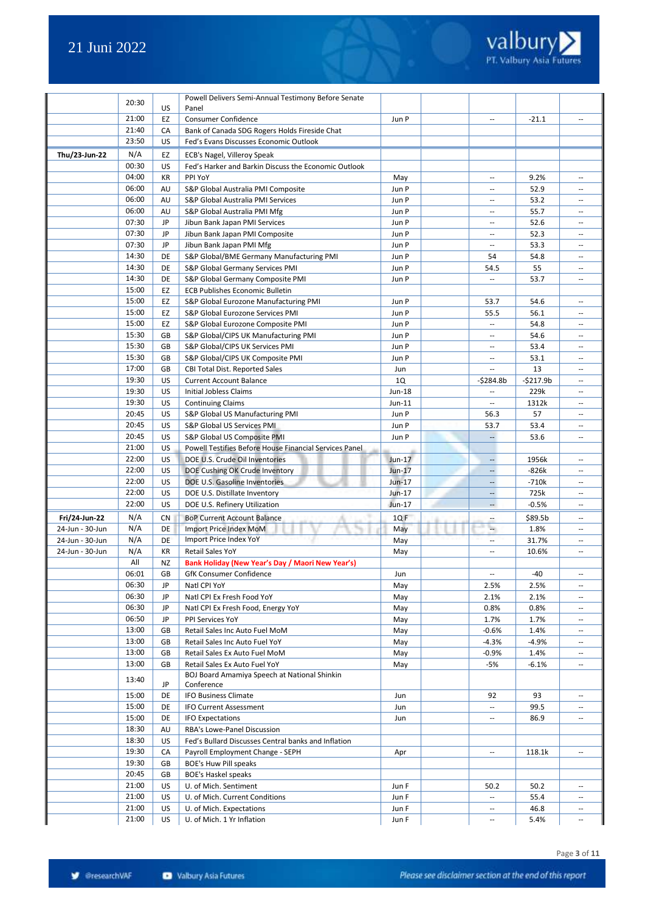

|                 | 20:30          |           | Powell Delivers Semi-Annual Testimony Before Senate             |                   |                          |                    |                                    |
|-----------------|----------------|-----------|-----------------------------------------------------------------|-------------------|--------------------------|--------------------|------------------------------------|
|                 |                | US        | Panel                                                           |                   |                          |                    |                                    |
|                 | 21:00          | EZ        | <b>Consumer Confidence</b>                                      | Jun P             | $\overline{\phantom{a}}$ | $-21.1$            | $\sim$                             |
|                 | 21:40          | CA        | Bank of Canada SDG Rogers Holds Fireside Chat                   |                   |                          |                    |                                    |
|                 | 23:50          | US        | Fed's Evans Discusses Economic Outlook                          |                   |                          |                    |                                    |
| Thu/23-Jun-22   | N/A            | EZ        | ECB's Nagel, Villeroy Speak                                     |                   |                          |                    |                                    |
|                 | 00:30          | US        | Fed's Harker and Barkin Discuss the Economic Outlook            |                   |                          |                    |                                    |
|                 | 04:00          | KR        | PPI YoY                                                         | May               | $\overline{\phantom{a}}$ | 9.2%               | $\overline{\phantom{a}}$           |
|                 | 06:00          | AU        | S&P Global Australia PMI Composite                              | Jun P             | $\sim$                   | 52.9               | $\sim$                             |
|                 | 06:00          | AU        | S&P Global Australia PMI Services                               | Jun P             | $\overline{\phantom{a}}$ | 53.2               | $\overline{\phantom{a}}$           |
|                 | 06:00          | AU        | S&P Global Australia PMI Mfg                                    | Jun P             | $\sim$                   | 55.7               | $\sim$                             |
|                 | 07:30          | JP        | Jibun Bank Japan PMI Services                                   | Jun P             | $\sim$                   | 52.6               | $\sim$                             |
|                 | 07:30          | JP        | Jibun Bank Japan PMI Composite                                  | Jun P             | $\mathbf{u}$             | 52.3               | $\sim$                             |
|                 | 07:30          | JP        | Jibun Bank Japan PMI Mfg                                        | Jun P             | $\overline{\phantom{a}}$ | 53.3               | $\overline{\phantom{a}}$           |
|                 | 14:30          | DE        | S&P Global/BME Germany Manufacturing PMI                        | Jun P             | 54                       | 54.8               | $\sim$ $\sim$                      |
|                 | 14:30          | DE        | S&P Global Germany Services PMI                                 | Jun P             | 54.5                     | 55                 | $\overline{\phantom{a}}$           |
|                 | 14:30          | DE        | S&P Global Germany Composite PMI                                | Jun P             |                          | 53.7               | $\sim$                             |
|                 | 15:00          | EZ        | <b>ECB Publishes Economic Bulletin</b>                          |                   |                          |                    |                                    |
|                 | 15:00          | EZ        | S&P Global Eurozone Manufacturing PMI                           | Jun P             | 53.7                     | 54.6               | $\sim$ $\sim$                      |
|                 | 15:00          | EZ        | S&P Global Eurozone Services PMI                                | Jun P             | 55.5                     | 56.1               | $\overline{\phantom{a}}$           |
|                 | 15:00          | EZ        | S&P Global Eurozone Composite PMI                               | Jun P             |                          | 54.8               |                                    |
|                 | 15:30          | GB        | S&P Global/CIPS UK Manufacturing PMI                            | Jun P             | $\overline{\phantom{a}}$ | 54.6               | $\overline{\phantom{a}}$           |
|                 | 15:30<br>15:30 | GB        | S&P Global/CIPS UK Services PMI                                 | Jun P             | $\overline{\phantom{a}}$ | 53.4               | $\overline{\phantom{a}}$           |
|                 | 17:00          | GB        | S&P Global/CIPS UK Composite PMI                                | Jun P             | $\overline{\phantom{a}}$ | 53.1               | $\overline{\phantom{a}}$           |
|                 | 19:30          | GB<br>US  | CBI Total Dist. Reported Sales                                  | Jun               |                          | 13                 | $\sim$                             |
|                 | 19:30          | US        | <b>Current Account Balance</b><br><b>Initial Jobless Claims</b> | 1Q                | $-$ \$284.8b<br>$\sim$   | $-5217.9b$<br>229k | $\overline{\phantom{a}}$<br>$\sim$ |
|                 | 19:30          | US        |                                                                 | Jun-18            | $\hspace{0.05cm} \ldots$ | 1312k              | $\sim$                             |
|                 | 20:45          | US        | <b>Continuing Claims</b><br>S&P Global US Manufacturing PMI     | $Jun-11$<br>Jun P | 56.3                     | 57                 | $\sim$                             |
|                 | 20:45          | US        | S&P Global US Services PMI                                      | Jun P             | 53.7                     | 53.4               | $\hspace{0.05cm} \ldots$           |
|                 | 20:45          | US        | S&P Global US Composite PMI                                     | Jun P             | $\overline{\phantom{a}}$ | 53.6               | $\sim$                             |
|                 | 21:00          | US        | Powell Testifies Before House Financial Services Panel          |                   |                          |                    |                                    |
|                 | 22:00          | US        | DOE U.S. Crude Oil Inventories                                  | $Jun-17$          | $\overline{\phantom{a}}$ | 1956k              | $\overline{a}$                     |
|                 | 22:00          | US        | DOE Cushing OK Crude Inventory                                  | Jun-17            | $\overline{\phantom{a}}$ | -826k              | $\hspace{0.05cm} \ldots$           |
|                 | 22:00          | US        | DOE U.S. Gasoline Inventories                                   | Jun-17            | $\cdots$                 | $-710k$            | $\sim$                             |
|                 | 22:00          | US        | DOE U.S. Distillate Inventory                                   | Jun-17            | $\overline{\phantom{a}}$ | 725k               |                                    |
|                 | 22:00          | US        | DOE U.S. Refinery Utilization                                   | Jun-17            | $\overline{\phantom{a}}$ | $-0.5%$            | $\sim$                             |
| Fri/24-Jun-22   | N/A            | <b>CN</b> | <b>BoP Current Account Balance</b>                              | 1QF               | $\overline{\phantom{a}}$ | \$89.5b            | $\sim$                             |
| 24-Jun - 30-Jun | N/A            | DE        | Import Price Index MoM                                          | May               | ÷.                       | 1.8%               | $\hspace{0.05cm} \ldots$           |
| 24-Jun - 30-Jun | N/A            | DE        | Import Price Index YoY                                          | May               | $\overline{\phantom{a}}$ | 31.7%              | $\sim$                             |
| 24-Jun - 30-Jun | N/A            | KR        | <b>Retail Sales YoY</b>                                         | May               | $\overline{\phantom{a}}$ | 10.6%              | $\overline{a}$                     |
|                 | All            | NZ        | Bank Holiday (New Year's Day / Maori New Year's)                |                   |                          |                    |                                    |
|                 | 06:01          | GB        | GfK Consumer Confidence                                         | Jun               |                          | -40                |                                    |
|                 | 06:30          | JP        | Natl CPI YoY                                                    | May               | 2.5%                     | 2.5%               | $\sim$ $\sim$                      |
|                 | 06:30          | JP        | Natl CPI Ex Fresh Food YoY                                      | May               | 2.1%                     | 2.1%               |                                    |
|                 | 06:30          | JP        | Natl CPI Ex Fresh Food, Energy YoY                              | May               | 0.8%                     | 0.8%               | $\overline{\phantom{a}}$           |
|                 | 06:50          | JP        | PPI Services YoY                                                | May               | 1.7%                     | 1.7%               | $\overline{\phantom{a}}$           |
|                 | 13:00          | GB        | Retail Sales Inc Auto Fuel MoM                                  | May               | $-0.6%$                  | 1.4%               | $\sim$                             |
|                 | 13:00          | GB        | Retail Sales Inc Auto Fuel YoY                                  | May               | $-4.3%$                  | $-4.9%$            | $\overline{\phantom{a}}$           |
|                 | 13:00          | GB        | Retail Sales Ex Auto Fuel MoM                                   | May               | $-0.9%$                  | 1.4%               | $\overline{\phantom{a}}$           |
|                 | 13:00          | GB        | Retail Sales Ex Auto Fuel YoY                                   | May               | -5%                      | $-6.1%$            | $\overline{\phantom{a}}$           |
|                 | 13:40          | JP        | BOJ Board Amamiya Speech at National Shinkin<br>Conference      |                   |                          |                    |                                    |
|                 | 15:00          | DE        | <b>IFO Business Climate</b>                                     | Jun               | 92                       | 93                 | $\sim$                             |
|                 | 15:00          | DE        | <b>IFO Current Assessment</b>                                   | Jun               | $\ldots$                 | 99.5               | $\overline{\phantom{a}}$           |
|                 | 15:00          | DE        | <b>IFO Expectations</b>                                         | Jun               | $\hspace{0.05cm} \ldots$ | 86.9               | $\overline{\phantom{a}}$           |
|                 | 18:30          | AU        | RBA's Lowe-Panel Discussion                                     |                   |                          |                    |                                    |
|                 | 18:30          | US        | Fed's Bullard Discusses Central banks and Inflation             |                   |                          |                    |                                    |
|                 | 19:30          | CA        | Payroll Employment Change - SEPH                                | Apr               | $\overline{\phantom{a}}$ | 118.1k             | $\overline{\phantom{a}}$           |
|                 | 19:30          | GB        | <b>BOE's Huw Pill speaks</b>                                    |                   |                          |                    |                                    |
|                 | 20:45          | GB        | <b>BOE's Haskel speaks</b>                                      |                   |                          |                    |                                    |
|                 | 21:00          | US        | U. of Mich. Sentiment                                           | Jun F             | 50.2                     | 50.2               | $\overline{\phantom{a}}$           |
|                 | 21:00          | US        | U. of Mich. Current Conditions                                  | Jun F             | $\overline{\phantom{a}}$ | 55.4               | $\overline{\phantom{a}}$           |
|                 | 21:00          | US        | U. of Mich. Expectations                                        | Jun F             | $\hspace{0.05cm} \ldots$ | 46.8               | $\overline{\phantom{a}}$           |
|                 | 21:00          | US        | U. of Mich. 1 Yr Inflation                                      | Jun F             | $\overline{\phantom{a}}$ | 5.4%               | $\overline{\phantom{a}}$           |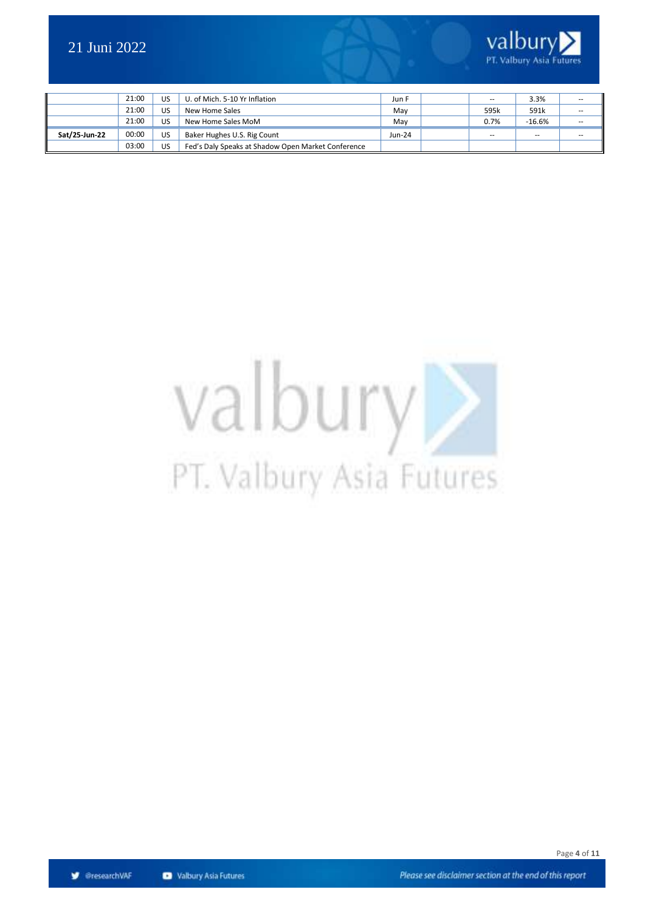

|               | 21:00 | US        | U. of Mich. 5-10 Yr Inflation                      | Jun F    | $\hspace{0.05cm} \ldots$ | 3.3%                     | $\overline{\phantom{a}}$ |
|---------------|-------|-----------|----------------------------------------------------|----------|--------------------------|--------------------------|--------------------------|
|               | 21:00 | <b>US</b> | New Home Sales                                     | May      | 595k                     | 591k                     | $\sim$                   |
|               | 21:00 | US        | New Home Sales MoM                                 | Mav      | 0.7%                     | $-16.6%$                 | $\sim$                   |
| Sat/25-Jun-22 | 00:00 | US.       | Baker Hughes U.S. Rig Count                        | $Jun-24$ | $\overline{\phantom{a}}$ | $\overline{\phantom{m}}$ | $\overline{\phantom{a}}$ |
|               | 03:00 | US.       | Fed's Daly Speaks at Shadow Open Market Conference |          |                          |                          |                          |

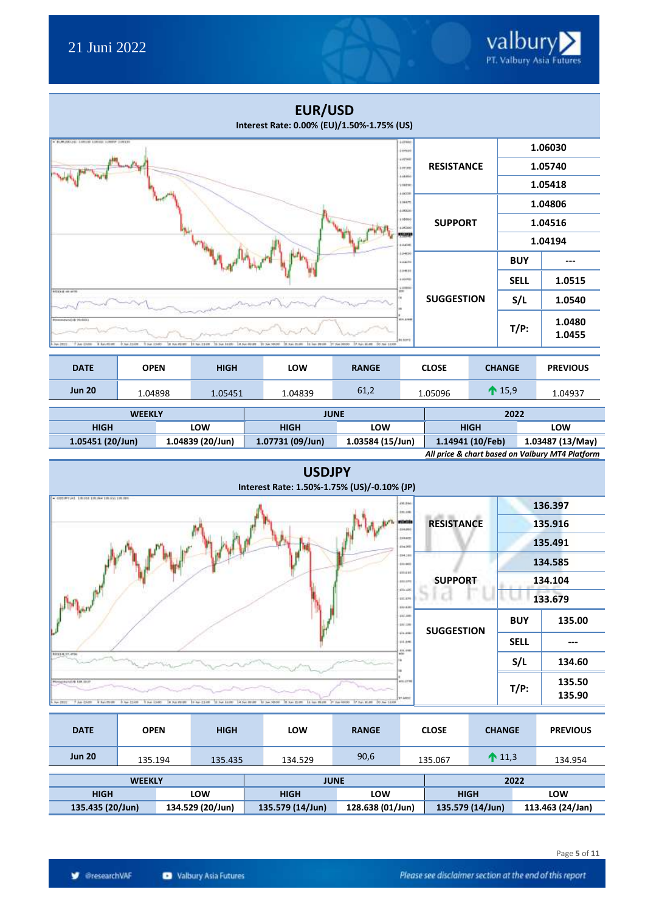|                                                                                                                      |                                                              |                                | <b>EUR/USD</b><br>Interest Rate: 0.00% (EU)/1.50%-1.75% (US)  |                                            |                             |                   |             |                  |                                                 |  |
|----------------------------------------------------------------------------------------------------------------------|--------------------------------------------------------------|--------------------------------|---------------------------------------------------------------|--------------------------------------------|-----------------------------|-------------------|-------------|------------------|-------------------------------------------------|--|
| <b>BURGEONS ARRESTS SOUTH SOMEP 3 (4518)</b>                                                                         |                                                              |                                |                                                               |                                            | 10798<br>jone               |                   |             |                  | 1.06030                                         |  |
|                                                                                                                      |                                                              |                                |                                                               | <b>LITHE</b><br><b>Longer</b>              | <b>RESISTANCE</b>           |                   | 1.05740     |                  |                                                 |  |
|                                                                                                                      |                                                              |                                |                                                               | 4.08.000<br><b>VIANTE</b>                  |                             |                   |             | 1.05418          |                                                 |  |
|                                                                                                                      |                                                              |                                |                                                               |                                            | 10038<br>114470<br>4,000,00 |                   |             |                  | 1.04806                                         |  |
|                                                                                                                      |                                                              |                                |                                                               |                                            | 100000<br><b>LOCAGO</b>     | <b>SUPPORT</b>    |             | 1.04516          |                                                 |  |
|                                                                                                                      |                                                              |                                |                                                               |                                            | 153113<br>LOATHE            |                   |             | 1.04194          |                                                 |  |
|                                                                                                                      |                                                              |                                |                                                               |                                            | ioex<br>100039              |                   |             | <b>BUY</b>       | ---                                             |  |
|                                                                                                                      |                                                              |                                |                                                               |                                            | 10418<br>10098              |                   |             | <b>SELL</b>      | 1.0515                                          |  |
| <b>NUMBER</b>                                                                                                        |                                                              |                                |                                                               |                                            | 1000                        | <b>SUGGESTION</b> |             | S/L              | 1.0540                                          |  |
| 7 Am 1348<br><b>B. Bush William</b><br>M-IRIS                                                                        | ALC: AN ASSAULT<br>T Feb 13-60<br>3 No. 2148                 | 10 No. 214W<br>24 Suit 14 (8): | 4.5x149.00<br>11 Tel. 10.00<br>14 Inc. 29 OA<br>58 San Strate | 17 Apr #149 50 Apr 12.00<br>31 San (80.00) | 414,644<br><b>BEASTS</b>    |                   |             | $T/P$ :          | 1.0480<br>1.0455                                |  |
| <b>DATE</b>                                                                                                          | <b>OPEN</b>                                                  | <b>HIGH</b>                    | LOW                                                           | <b>RANGE</b>                               |                             | <b>CLOSE</b>      |             | <b>CHANGE</b>    | <b>PREVIOUS</b>                                 |  |
| <b>Jun 20</b>                                                                                                        | 1.04898                                                      | 1.05451                        | 1.04839                                                       | 61,2                                       |                             | 1.05096           |             | $\bigwedge$ 15,9 | 1.04937                                         |  |
|                                                                                                                      | <b>WEEKLY</b>                                                |                                |                                                               | <b>JUNE</b>                                |                             |                   |             | 2022             |                                                 |  |
| <b>HIGH</b>                                                                                                          |                                                              | LOW                            | <b>HIGH</b>                                                   | LOW                                        |                             |                   | <b>HIGH</b> |                  | LOW                                             |  |
| 1.05451 (20/Jun)<br>1.04839 (20/Jun)<br>1.07731 (09/Jun)<br>1.03584 (15/Jun)<br>1.14941 (10/Feb)<br>1.03487 (13/May) |                                                              |                                |                                                               |                                            |                             |                   |             |                  |                                                 |  |
|                                                                                                                      |                                                              |                                |                                                               |                                            |                             |                   |             |                  | All price & chart based on Valbury MT4 Platform |  |
|                                                                                                                      | <b>USDJPY</b><br>Interest Rate: 1.50%-1.75% (US)/-0.10% (JP) |                                |                                                               |                                            |                             |                   |             |                  |                                                 |  |
| - COSTINTIAS STRUCK STRUCK STRUCKS STRUCKS                                                                           |                                                              |                                |                                                               |                                            | 495-2401                    |                   |             |                  | 126 207                                         |  |



| <b>DATE</b>   | <b>OPEN</b>                          | <b>HIGH</b> | <b>LOW</b>       | <b>RANGE</b> |                  | <b>CLOSE</b> | <b>CHANGE</b>    | <b>PREVIOUS</b>  |
|---------------|--------------------------------------|-------------|------------------|--------------|------------------|--------------|------------------|------------------|
| <b>Jun 20</b> | 135.194                              | 135.435     | 134.529          | 90,6         |                  | 135.067      | $\bigcap_{1,3}$  | 134.954          |
| <b>WEEKLY</b> |                                      |             | <b>JUNE</b>      |              |                  | 2022         |                  |                  |
| <b>HIGH</b>   |                                      | LOW         | <b>HIGH</b>      | LOW          |                  | <b>HIGH</b>  |                  | LOW              |
|               | 135.435 (20/Jun)<br>134.529 (20/Jun) |             | 135.579 (14/Jun) |              | 128.638 (01/Jun) |              | 135.579 (14/Jun) | 113.463 (24/Jan) |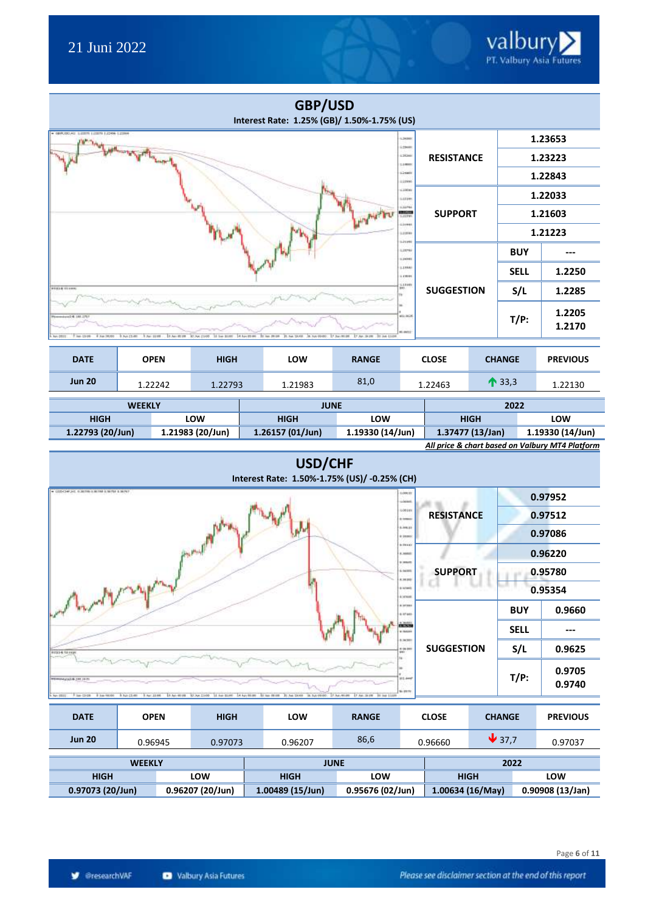|                                                                     |                              |             | GBP/USD<br>Interest Rate: 1.25% (GB)/ 1.50%-1.75% (US) |                                           |                               |                   |                  |                  |
|---------------------------------------------------------------------|------------------------------|-------------|--------------------------------------------------------|-------------------------------------------|-------------------------------|-------------------|------------------|------------------|
| + 0890000141 LEEETH LEEETH LIDEN-L23944                             |                              |             |                                                        |                                           | 1.36000<br>125600             |                   |                  | 1.23653          |
|                                                                     | وبالتلوية وسمالهم            |             |                                                        |                                           | 138200<br>1,14000             | <b>RESISTANCE</b> |                  | 1.23223          |
|                                                                     |                              |             |                                                        |                                           | 12480<br>127990               |                   |                  | 1.22843          |
|                                                                     |                              |             |                                                        |                                           | 120600<br>LUIPE               |                   |                  | 1.22033          |
|                                                                     |                              |             |                                                        |                                           | 120760<br>1,000               | <b>SUPPORT</b>    |                  | 1.21603          |
|                                                                     |                              |             |                                                        |                                           | Liotes<br>1,11890<br>1.24 (4) |                   |                  | 1.21223          |
|                                                                     |                              |             |                                                        |                                           | LIPEG<br>1,000                |                   | <b>BUY</b>       | ---              |
|                                                                     |                              |             |                                                        |                                           | 1,1988<br><b>LONG</b>         |                   | <b>SELL</b>      | 1.2250           |
| <b>PS618 01488</b>                                                  |                              |             |                                                        |                                           | <b>LEFF</b><br>885.           | <b>SUGGESTION</b> | S/L              | 1.2285           |
| 1211, 1811 B Department<br>7 kg (3.06<br>Auto 2011<br>8 Apr (80.00) | 9. Pub 21-881<br>3 Apr 11 09 |             | 31 inc. (8106 21-54 1939). . 38 NA 914001              | 17 Av 34 PE : 30 Av 13-04<br>17 Jan 00:00 | 49,968<br>#Last:              |                   | $T/P$ :          | 1.2205<br>1.2170 |
|                                                                     |                              |             |                                                        |                                           |                               |                   |                  |                  |
| <b>DATE</b>                                                         | <b>OPEN</b>                  | <b>HIGH</b> | LOW                                                    | <b>RANGE</b>                              |                               | <b>CLOSE</b>      | <b>CHANGE</b>    | <b>PREVIOUS</b>  |
| <b>Jun 20</b>                                                       | 1.22242                      | 1.22793     | 1.21983                                                | 81,0                                      |                               | 1.22463           | $\bigwedge$ 33,3 | 1.22130          |

| <b>WEEKLY</b>    |                  | <b>JUNE</b>        |                    | 2022                                            |                  |  |
|------------------|------------------|--------------------|--------------------|-------------------------------------------------|------------------|--|
| <b>HIGH</b>      | LOW              | <b>HIGH</b>        | LOW                | <b>HIGH</b>                                     | LOW              |  |
| 1.22793 (20/Jun) | 1.21983 (20/Jun) | $1.26157(01/$ Jun) | $1.19330(14/$ Jun) | 1.37477 (13/Jan)                                | 1.19330 (14/Jun) |  |
|                  |                  |                    |                    | All price & chart based on Valbury MT4 Platform |                  |  |

### **USD/CHF Interest Rate: 1.50%-1.75% (US)/ -0.25% (CH)**

| . LEDITORIJAL ALBERBA OLIMERI ILIMITRE ILIMINET<br>1,000.03<br>substant |                   |             | 0.97952          |
|-------------------------------------------------------------------------|-------------------|-------------|------------------|
| 6,08140<br>A homes                                                      | <b>RESISTANCE</b> |             | 0.97512          |
| 6,88.82<br>8 99800                                                      |                   |             | 0.97086          |
| <b>SIMAL</b><br>A MAG<br>9 MAIN                                         |                   |             | 0.96220          |
| 6. bol 810<br>A. 94, 910                                                | <b>SUPPORT</b>    |             | 0.95780          |
| a krain<br>A SO KIR                                                     |                   |             | 0.95354          |
| South lease of the<br>A setent<br>6.87400                               |                   | <b>BUY</b>  | 0.9660           |
| <b>ning</b><br>a main                                                   |                   | <b>SELL</b> | $---$            |
| 8.34300<br>$+100.000$<br><b>RESISTENCE</b>                              | <b>SUGGESTION</b> | S/L         | 0.9625           |
| <b>HL++</b><br><b>ENGINEERING CALL THE ARTS</b><br>to MYS               |                   | $T/P$ :     | 0.9705<br>0.9740 |

| <b>DATE</b>   | <b>OPEN</b>                          | <b>HIGH</b> | LOW              | <b>RANGE</b>     |  | <b>CLOSE</b>     | <b>CHANGE</b>              |  | <b>PREVIOUS</b> |
|---------------|--------------------------------------|-------------|------------------|------------------|--|------------------|----------------------------|--|-----------------|
| <b>Jun 20</b> | 0.96945                              | 0.97073     | 0.96207          | 86,6             |  | 0.96660          | $\blacktriangleright$ 37.7 |  | 0.97037         |
|               | <b>WEEKLY</b>                        |             |                  | <b>JUNE</b>      |  |                  | 2022                       |  |                 |
| <b>HIGH</b>   |                                      | LOW         | <b>HIGH</b>      | LOW              |  |                  | <b>HIGH</b>                |  | LOW             |
|               | 0.96207 (20/Jun)<br>0.97073 (20/Jun) |             | 1.00489 (15/Jun) | 0.95676 (02/Jun) |  | 1.00634 (16/May) |                            |  | 0.90908(13/Jan) |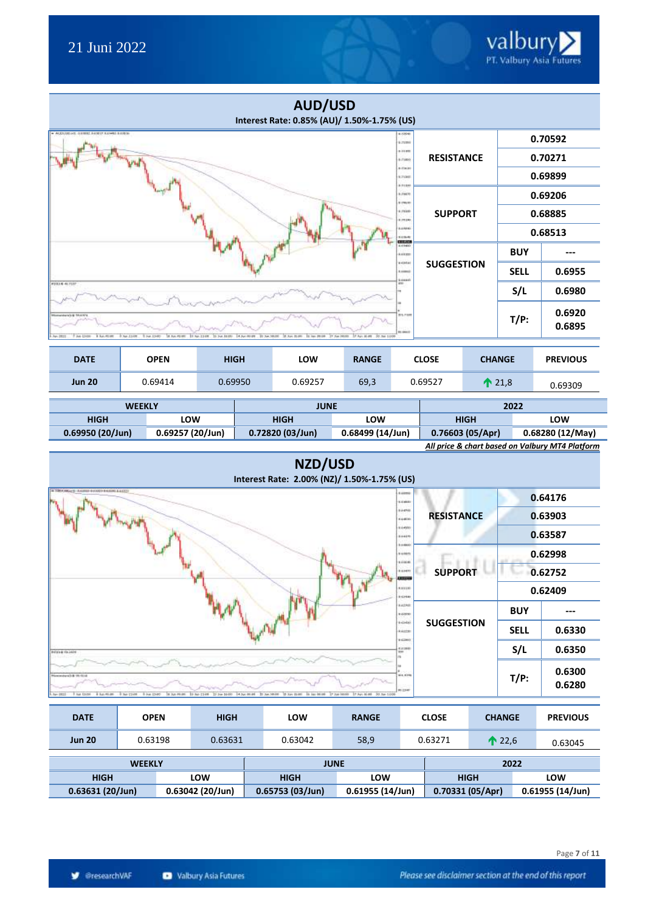|                                                                  |                                                                                                                                                                                    |         |  | <b>AUD/USD</b><br>Interest Rate: 0.85% (AU)/ 1.50%-1.75% (US) |      |                                     |                   |  |                  |                  |
|------------------------------------------------------------------|------------------------------------------------------------------------------------------------------------------------------------------------------------------------------------|---------|--|---------------------------------------------------------------|------|-------------------------------------|-------------------|--|------------------|------------------|
| AUDUSTED AT \$1990 FARET LUMBER OF \$1                           |                                                                                                                                                                                    |         |  |                                                               |      | 4.10946<br>6.71999                  |                   |  |                  | 0.70592          |
|                                                                  |                                                                                                                                                                                    |         |  |                                                               |      | 6.1199<br>6.7189                    | <b>RESISTANCE</b> |  |                  | 0.70271          |
|                                                                  |                                                                                                                                                                                    |         |  |                                                               |      | a class<br>9.7490                   |                   |  |                  | 0.69899          |
|                                                                  |                                                                                                                                                                                    |         |  |                                                               |      | <b>Admin</b><br>8.790%<br>\$ (Well) |                   |  |                  | 0.69206          |
|                                                                  |                                                                                                                                                                                    |         |  |                                                               |      | 6,753.65<br>6.79380.                | <b>SUPPORT</b>    |  |                  | 0.68885          |
|                                                                  |                                                                                                                                                                                    |         |  |                                                               |      | 8.6/690<br>141640<br>15.119         |                   |  |                  | 0.68513          |
|                                                                  |                                                                                                                                                                                    |         |  |                                                               |      | 6.6/6800<br>Anken                   |                   |  | <b>BUY</b>       |                  |
|                                                                  |                                                                                                                                                                                    |         |  |                                                               |      | 948480<br><b>8.44440</b><br>5.00445 | <b>SUGGESTION</b> |  | <b>SELL</b>      | 0.6955           |
| #2314-4i-7137                                                    |                                                                                                                                                                                    |         |  |                                                               |      | and a                               |                   |  | S/L              | 0.6980           |
| smandwrich @ 10.610'd<br>Ave-L1-UH<br><b>B. Bury PRESIDE</b>     | 1 Nov. 2, 240 W<br>SE Bally PROMIS<br>EL 3x4, 50.00<br>St. Sun 25.000<br>2.Apr #649<br>50 Jun 1.100<br>T Feb 15-60<br>11 No. 2148<br>11-3-a 14:00<br>14 Nov 89 89<br>14 Apr. 29 04 |         |  |                                                               |      |                                     |                   |  | $T/P$ :          | 0.6920<br>0.6895 |
| <b>DATE</b><br><b>OPEN</b><br><b>HIGH</b><br>LOW<br><b>RANGE</b> |                                                                                                                                                                                    |         |  |                                                               |      |                                     | <b>CLOSE</b>      |  | <b>CHANGE</b>    | <b>PREVIOUS</b>  |
| <b>Jun 20</b>                                                    | 0.69414                                                                                                                                                                            | 0.69950 |  | 0.69257                                                       | 69,3 |                                     | 0.69527           |  | $\bigwedge$ 21,8 | 0.69309          |
|                                                                  | 2022<br><b>JUNE</b><br><b>WEEKLY</b>                                                                                                                                               |         |  |                                                               |      |                                     |                   |  |                  |                  |

| <b>WEEKLY</b>      |                    | JUNL                                 |     | 2022                                            |                  |  |  |
|--------------------|--------------------|--------------------------------------|-----|-------------------------------------------------|------------------|--|--|
| HIGH               | LOW                | <b>HIGH</b>                          | LOW | <b>HIGH</b>                                     | LOW              |  |  |
| $0.69950(20/$ Jun) | $0.69257(20/$ Jun) | 0.68499 (14/Jun)<br>0.72820 (03/Jun) |     | 0.76603(05/Apr)                                 | 0.68280 (12/May) |  |  |
|                    |                    |                                      |     | All price & chart based on Valbury MT4 Platform |                  |  |  |



| <b>DATE</b>                         | <b>OPEN</b> |                 | <b>HIGH</b>        | LOW         | <b>RANGE</b>    |  | <b>CLOSE</b> | <b>CHANGE</b>    |  | <b>PREVIOUS</b> |
|-------------------------------------|-------------|-----------------|--------------------|-------------|-----------------|--|--------------|------------------|--|-----------------|
| <b>Jun 20</b>                       | 0.63198     |                 | 0.63631            | 0.63042     | 58,9            |  | 0.63271      | $\bigwedge$ 22,6 |  | 0.63045         |
| <b>WEEKLY</b>                       |             |                 |                    | <b>JUNE</b> |                 |  | 2022         |                  |  |                 |
| <b>HIGH</b><br>LOW                  |             | <b>HIGH</b>     | <b>LOW</b>         |             | <b>HIGH</b>     |  |              | LOW              |  |                 |
| 0.63042 (20/Jun)<br>0.63631(20/Jun) |             | 0.65753(03/Jun) | $0.61955(14/$ Jun) |             | 0.70331(05/Apr) |  |              | 0.61955(14/Jun)  |  |                 |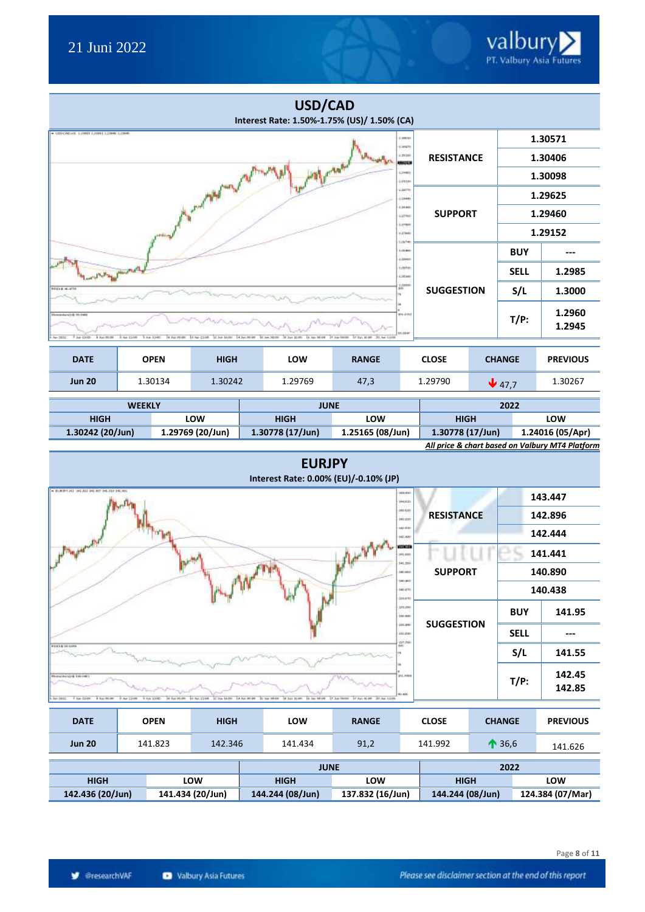

|                                                                           |                                             |                                                 | USD/CAD<br>Interest Rate: 1.50%-1.75% (US)/ 1.50% (CA) |                                               |                              |                   |  |                   |                  |
|---------------------------------------------------------------------------|---------------------------------------------|-------------------------------------------------|--------------------------------------------------------|-----------------------------------------------|------------------------------|-------------------|--|-------------------|------------------|
| - CODY/WEART, 1:20009 EU1000 EU20000 EU20000                              |                                             |                                                 |                                                        |                                               | 1.009.03<br>128430           |                   |  |                   | 1.30571          |
|                                                                           |                                             |                                                 |                                                        | 1.79190<br>19123.3                            | <b>RESISTANCE</b>            |                   |  | 1.30406           |                  |
|                                                                           |                                             |                                                 |                                                        |                                               | 12960<br>127191              |                   |  |                   | 1.30098          |
|                                                                           |                                             | and the family of                               |                                                        |                                               | 120739<br>$+18460$           |                   |  |                   | 1.29625          |
|                                                                           |                                             |                                                 |                                                        |                                               | 1,16,800<br>12750            | <b>SUPPORT</b>    |  |                   | 1.29460          |
|                                                                           |                                             |                                                 |                                                        |                                               | 1.07407<br>1.27990<br>126140 |                   |  |                   | 1.29152          |
|                                                                           |                                             |                                                 |                                                        |                                               | 1,23,800<br>1.18440          |                   |  | <b>BUY</b>        |                  |
| parties plant                                                             |                                             |                                                 |                                                        |                                               | 1chtm<br>128360              |                   |  | <b>SELL</b>       | 1.2985           |
| 100314-0-070                                                              |                                             |                                                 |                                                        |                                               | 1,21890                      | <b>SUGGESTION</b> |  | S/L               | 1.3000           |
| financial and in 10,4400<br>7 Apr 13-00<br>A has more<br><b>New ENSIS</b> | 9. Apr 2,1400<br>A July 19100<br>9 Pel 1340 | '11 Pol. 84/787<br>14 Sal 89 BB<br>19 Aur-2,148 | <b>In San Elimin</b><br>10 See 10:00<br>\$1.000 M EB   | 31 has 00000<br>37.5pc \$1.00<br>50.Am 1:4.00 | 014-0161<br><b>YI-154F</b>   |                   |  | $T/P$ :           | 1.2960<br>1.2945 |
|                                                                           |                                             |                                                 |                                                        |                                               |                              |                   |  |                   |                  |
| <b>DATE</b>                                                               | <b>OPEN</b>                                 | <b>HIGH</b>                                     | LOW                                                    | <b>RANGE</b>                                  |                              | <b>CLOSE</b>      |  | <b>CHANGE</b>     | <b>PREVIOUS</b>  |
| <b>Jun 20</b>                                                             | 1.30134                                     | 1.30242                                         | 1.29769                                                | 47,3                                          |                              | 1.29790           |  | $\downarrow$ 47,7 | 1.30267          |

| <b>WEEKLY</b>                                   |                  | <b>JUNE</b>        |                  | 2022             |                  |  |  |  |
|-------------------------------------------------|------------------|--------------------|------------------|------------------|------------------|--|--|--|
| <b>HIGH</b>                                     | <b>LOW</b>       | LOW<br><b>HIGH</b> |                  | <b>HIGH</b>      | <b>LOW</b>       |  |  |  |
| $1.30242$ (20/Jun)                              | 1.29769 (20/Jun) | 1.30778 (17/Jun)   | 1.25165 (08/Jun) | 1.30778 (17/Jun) | 1.24016 (05/Apr) |  |  |  |
| All price & chart based on Valbury MT4 Platform |                  |                    |                  |                  |                  |  |  |  |

| <b>EURJPY</b><br>Interest Rate: 0.00% (EU)/-0.10% (JP)                                                                                                                                                                                       |                   |                    |                  |  |
|----------------------------------------------------------------------------------------------------------------------------------------------------------------------------------------------------------------------------------------------|-------------------|--------------------|------------------|--|
| . EJERCHT 34131134.87.34.40.34.86<br>141.441<br>$1 + 110$                                                                                                                                                                                    |                   |                    | 143.447          |  |
| 349,639<br>149,237                                                                                                                                                                                                                           | <b>RESISTANCE</b> | 142.896<br>142.444 |                  |  |
| 16.531<br>16.66                                                                                                                                                                                                                              |                   |                    |                  |  |
| <b>Primary Constitution</b><br>enem<br>341,480                                                                                                                                                                                               |                   |                    | 141.441          |  |
| \$41,250<br>141403                                                                                                                                                                                                                           | <b>SUPPORT</b>    |                    | 140.890          |  |
| 100.000<br>440,476<br>339,670                                                                                                                                                                                                                |                   |                    | 140.438          |  |
| 171,290<br>110,000                                                                                                                                                                                                                           |                   | <b>BUY</b>         | 141.95           |  |
| (as an)<br>136,610                                                                                                                                                                                                                           | <b>SUGGESTION</b> | <b>SELL</b>        |                  |  |
| 137,768<br><b><i>REVOLUTS AND SUPPLY</i></b>                                                                                                                                                                                                 |                   | S/L                | 141.55           |  |
| 111.7008<br>Moneshington Entrance<br>10,430<br>FAIL DOI: 1 NUMBER<br>9.80 C108<br>10 No. 2108 31 No. 1400 14 No. 9148 31 No. 9500 31 No. 8100 14 No. 8100 37 No. 8100 31 No. 8100 30 No. 8100<br>Aur- 1912.<br>9 Air 13-851<br>14 Aug 25-day |                   | $T/P$ :            | 142.45<br>142.85 |  |

| <b>DATE</b>                          |  | <b>OPEN</b>        | <b>HIGH</b>      | LOW         | <b>RANGE</b>     |  | <b>CLOSE</b>     | <b>CHANGE</b>  | <b>PREVIOUS</b> |
|--------------------------------------|--|--------------------|------------------|-------------|------------------|--|------------------|----------------|-----------------|
| <b>Jun 20</b>                        |  | 141.823<br>142.346 |                  | 141.434     | 91,2             |  | 141.992          | $\bigcap$ 36,6 | 141.626         |
|                                      |  |                    |                  | <b>JUNE</b> |                  |  |                  | 2022           |                 |
| <b>HIGH</b><br>LOW                   |  | <b>HIGH</b>        | LOW              |             | <b>HIGH</b>      |  | LOW              |                |                 |
| 142.436 (20/Jun)<br>141.434 (20/Jun) |  | 144.244 (08/Jun)   | 137.832 (16/Jun) |             | 144.244 (08/Jun) |  | 124.384 (07/Mar) |                |                 |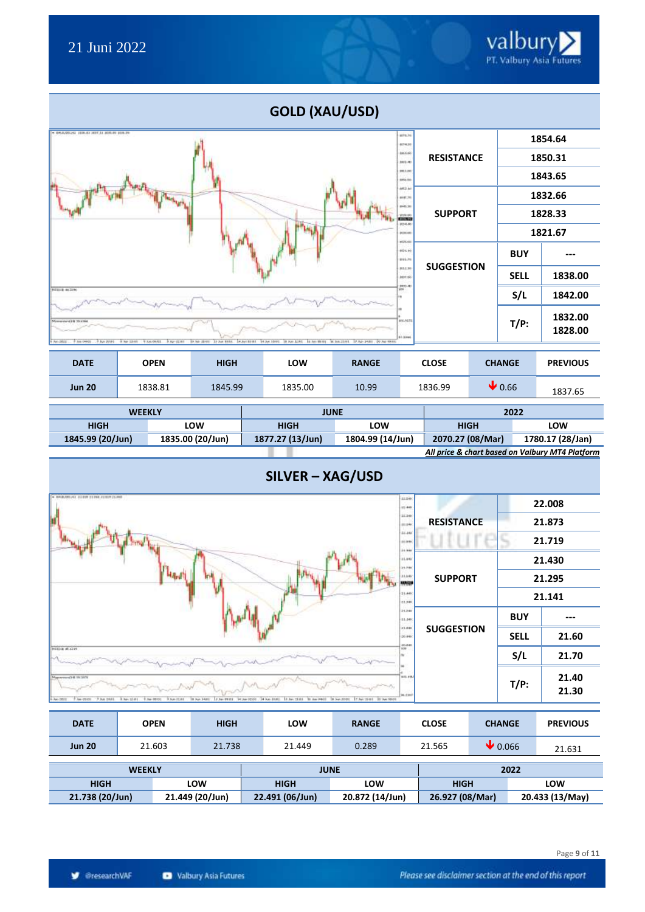

| <b>DATE</b>        |  | <b>OPEN</b> | <b>HIGH</b> | LOW         | <b>RANGE</b> |  | <b>CLOSE</b> | <b>CHANGE</b>              |      | <b>PREVIOUS</b> |
|--------------------|--|-------------|-------------|-------------|--------------|--|--------------|----------------------------|------|-----------------|
| <b>Jun 20</b>      |  | 1838.81     | 1845.99     | 1835.00     | 10.99        |  | 1836.99      | $\blacktriangleright$ 0.66 |      | 1837.65         |
| <b>WEEKLY</b>      |  |             |             | <b>JUNE</b> |              |  | 2022         |                            |      |                 |
| <b>HIGH</b><br>ומח |  |             | <b>HIGH</b> | וגוח ו      |              |  | <b>HIGH</b>  |                            | ומחו |                 |

| HIGH                                            | LOW              | HIGH             | LOW              | HIGH             | <b>LOW</b>       |  |  |  |  |  |
|-------------------------------------------------|------------------|------------------|------------------|------------------|------------------|--|--|--|--|--|
| 1845.99 (20/Jun)                                | 1835.00 (20/Jun) | 1877.27 (13/Jun) | 1804.99 (14/Jun) | 2070.27 (08/Mar) | 1780.17 (28/Jan) |  |  |  |  |  |
| All price & chart based on Valbury MT4 Platform |                  |                  |                  |                  |                  |  |  |  |  |  |



| <b>DATE</b>               | <b>OPEN</b>                        | <b>HIGH</b> | LOW             | <b>RANGE</b>    | <b>CLOSE</b>    | <b>CHANGE</b>               | <b>PREVIOUS</b> |  |
|---------------------------|------------------------------------|-------------|-----------------|-----------------|-----------------|-----------------------------|-----------------|--|
| <b>Jun 20</b>             | 21.603                             | 21.738      | 21.449          | 0.289           | 21.565          | $\blacktriangleright$ 0.066 | 21.631          |  |
|                           | <b>WEEKLY</b>                      |             | <b>JUNE</b>     |                 | 2022            |                             |                 |  |
| <b>HIGH</b><br><b>LOW</b> |                                    |             | <b>HIGH</b>     | LOW             | <b>HIGH</b>     | LOW                         |                 |  |
|                           | 21.738 (20/Jun)<br>21.449 (20/Jun) |             | 22.491 (06/Jun) | 20.872 (14/Jun) | 26.927 (08/Mar) |                             | 20.433 (13/May) |  |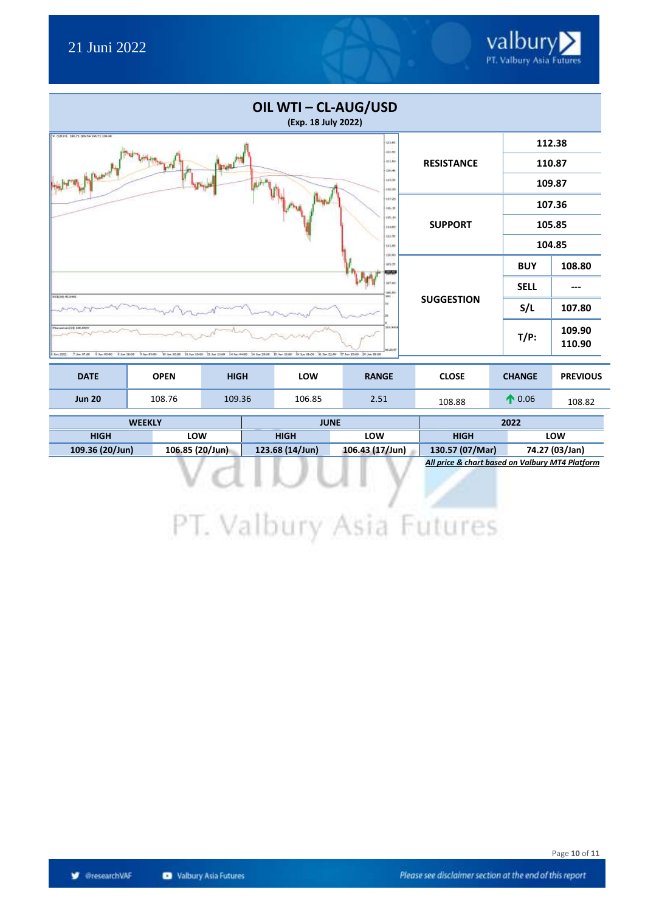

| OIL WTI - CL-AUG/USD<br>(Exp. 18 July 2022)                                                                                                                                                                                                |                   |             |        |  |
|--------------------------------------------------------------------------------------------------------------------------------------------------------------------------------------------------------------------------------------------|-------------------|-------------|--------|--|
| T GRIN 18671-305.94 109.71 138.86<br><b>BAILS</b><br>122.95                                                                                                                                                                                |                   |             | 112.38 |  |
| 11.50<br>120.00                                                                                                                                                                                                                            | <b>RESISTANCE</b> |             | 110.87 |  |
| With the Assembly<br>8.411<br>16:30                                                                                                                                                                                                        |                   |             | 109.87 |  |
| 10520<br>8.81                                                                                                                                                                                                                              |                   |             | 107.36 |  |
| 15.30<br>114,80                                                                                                                                                                                                                            | <b>SUPPORT</b>    |             | 105.85 |  |
| M.in<br>111.05<br>130,00                                                                                                                                                                                                                   |                   |             | 104.85 |  |
| 189.70<br>10.52                                                                                                                                                                                                                            |                   | <b>BUY</b>  | 108.80 |  |
| HP AO<br>100.85<br><b>SHOT</b>                                                                                                                                                                                                             |                   | <b>SELL</b> |        |  |
| 85130-6.2ml                                                                                                                                                                                                                                | <b>SUGGESTION</b> | S/L         | 107.80 |  |
| 205,946<br>Please and H. Litt JATE<br><b>NELSH</b><br>Elect2df     1/2010 17:36 11:00   14:36:3400   14:36:2500   15:36:15:00   15:36:22:00   17:36:15:00   25:36:01:00<br>大阪空間<br>1 Apr 20:00 1 E Sat 19:00<br>9 Jan 89-80<br>5. Apr 2022 |                   |             |        |  |

| <b>DATE</b>   | OPEN   | <b>HIGH</b> | <b>LOW</b> | <b>RANGE</b> | <b>CLOSE</b> | <b>CHANGE</b> | <b>PREVIOUS</b> |
|---------------|--------|-------------|------------|--------------|--------------|---------------|-----------------|
| <b>Jun 20</b> | 108.76 | 109.36      | 106.85     | 2.51         | 108.88       | 0.06          | 108.82          |

| <b>WEEKLY</b>   |                 |                 | <b>JUNE</b>     | 2022            |                |  |  |
|-----------------|-----------------|-----------------|-----------------|-----------------|----------------|--|--|
| <b>HIGH</b>     | LOW             | <b>HIGH</b>     | LOW             | HIGH            | LOW            |  |  |
| 109.36 (20/Jun) | 106.85 (20/Jun) | 123.68 (14/Jun) | 106.43 (17/Jun) | 130.57 (07/Mar) | 74.27 (03/Jan) |  |  |

*All price & chart based on Valbury MT4 Platform*

PT. Valbury Asia Futures